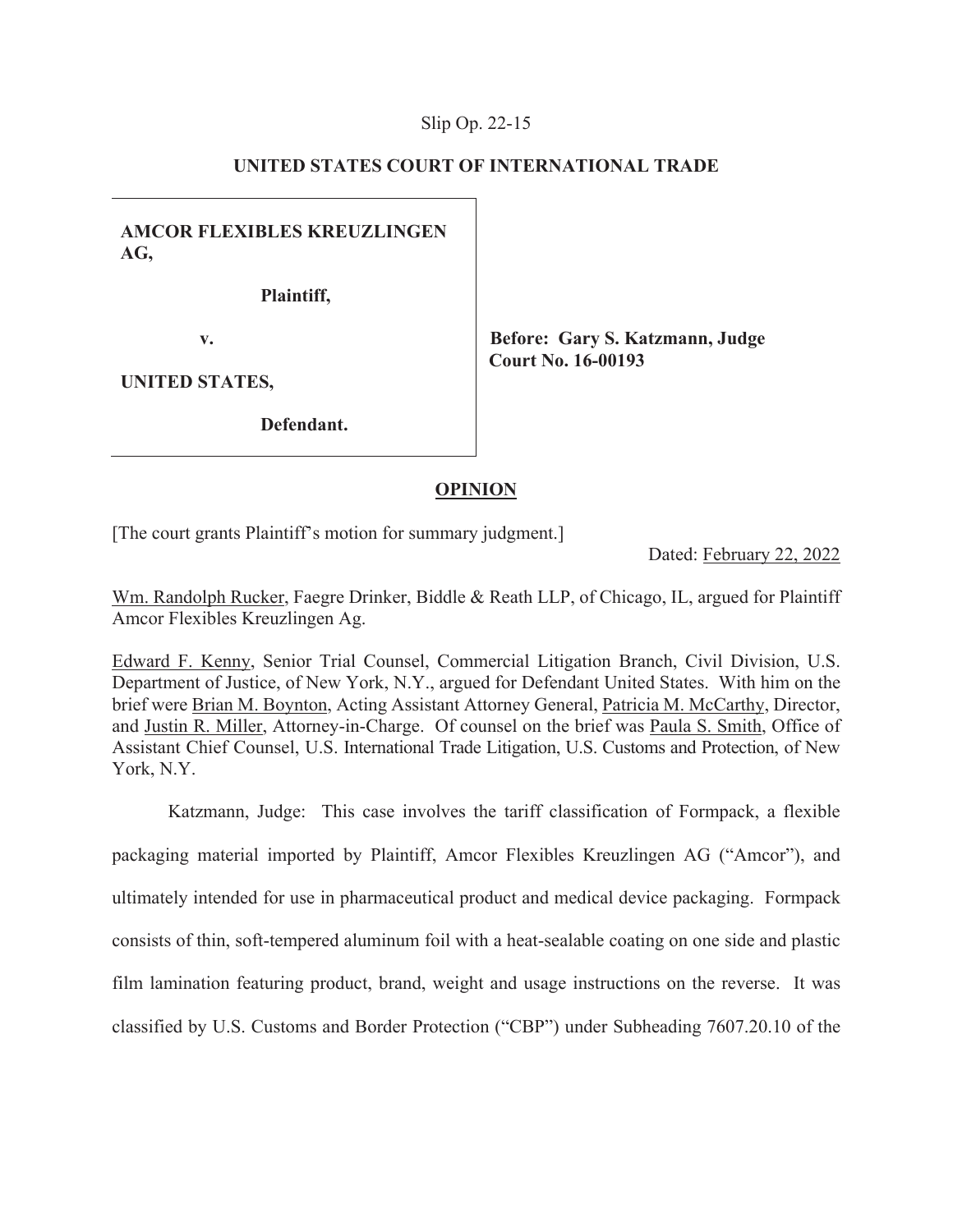## Slip Op. 22-

## **UNITED STATES COURT OF INTERNATIONAL TRADE**

**AMCOR FLEXIBLES KREUZLINGEN AG,** 

**Plaintiff,** 

**v.** 

**Before: Gary S. Katzmann, Judge Court No. 16-00193** 

**UNITED STATES,** 

**Defendant.** 

## **OPINION**

[The court grants Plaintiff's motion for summary judgment.]

Dated: February 22, 2022

Wm. Randolph Rucker, Faegre Drinker, Biddle & Reath LLP, of Chicago, IL, argued for Plaintiff Amcor Flexibles Kreuzlingen Ag.

Edward F. Kenny, Senior Trial Counsel, Commercial Litigation Branch, Civil Division, U.S. Department of Justice, of New York, N.Y., argued for Defendant United States. With him on the brief were Brian M. Boynton, Acting Assistant Attorney General, Patricia M. McCarthy, Director, and Justin R. Miller, Attorney-in-Charge. Of counsel on the brief was Paula S. Smith, Office of Assistant Chief Counsel, U.S. International Trade Litigation, U.S. Customs and Protection, of New York, N.Y.

Katzmann, Judge: This case involves the tariff classification of Formpack, a flexible packaging material imported by Plaintiff, Amcor Flexibles Kreuzlingen AG ("Amcor"), and ultimately intended for use in pharmaceutical product and medical device packaging. Formpack consists of thin, soft-tempered aluminum foil with a heat-sealable coating on one side and plastic film lamination featuring product, brand, weight and usage instructions on the reverse. It was classified by U.S. Customs and Border Protection ("CBP") under Subheading 7607.20.10 of the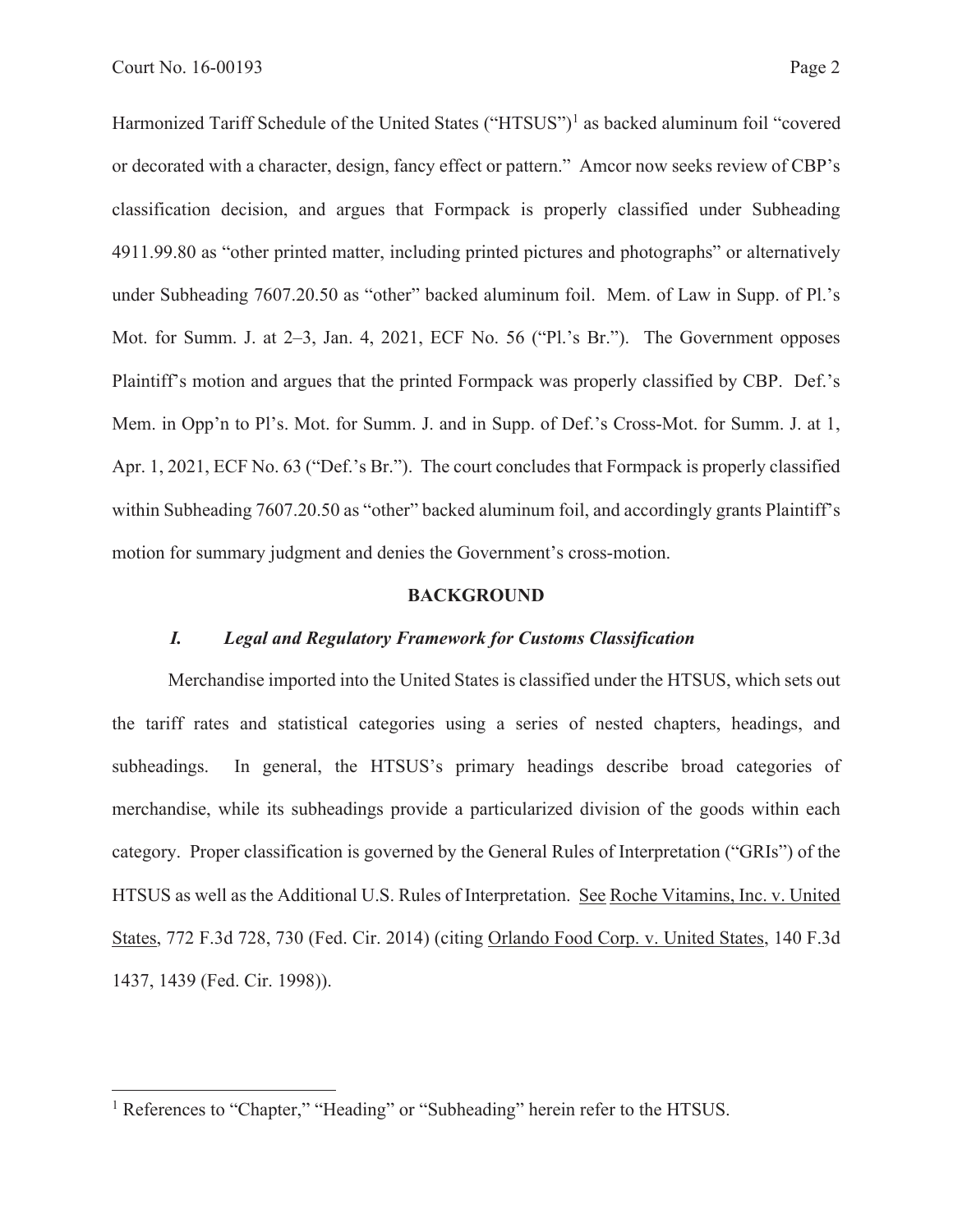Harmonized Tariff Schedule of the United States ("HTSUS")<sup>1</sup> as backed aluminum foil "covered or decorated with a character, design, fancy effect or pattern." Amcor now seeks review of CBP's classification decision, and argues that Formpack is properly classified under Subheading 4911.99.80 as "other printed matter, including printed pictures and photographs" or alternatively under Subheading 7607.20.50 as "other" backed aluminum foil. Mem. of Law in Supp. of Pl.'s Mot. for Summ. J. at 2–3, Jan. 4, 2021, ECF No. 56 ("Pl.'s Br."). The Government opposes Plaintiff's motion and argues that the printed Formpack was properly classified by CBP. Def.'s Mem. in Opp'n to Pl's. Mot. for Summ. J. and in Supp. of Def.'s Cross-Mot. for Summ. J. at 1, Apr. 1, 2021, ECF No. 63 ("Def.'s Br."). The court concludes that Formpack is properly classified within Subheading 7607.20.50 as "other" backed aluminum foil, and accordingly grants Plaintiff's motion for summary judgment and denies the Government's cross-motion.

#### **BACKGROUND**

## *I. Legal and Regulatory Framework for Customs Classification*

Merchandise imported into the United States is classified under the HTSUS, which sets out the tariff rates and statistical categories using a series of nested chapters, headings, and subheadings. In general, the HTSUS's primary headings describe broad categories of merchandise, while its subheadings provide a particularized division of the goods within each category. Proper classification is governed by the General Rules of Interpretation ("GRIs") of the HTSUS as well as the Additional U.S. Rules of Interpretation. See Roche Vitamins, Inc. v. United States, 772 F.3d 728, 730 (Fed. Cir. 2014) (citing Orlando Food Corp. v. United States, 140 F.3d 1437, 1439 (Fed. Cir. 1998)).

<sup>&</sup>lt;sup>1</sup> References to "Chapter," "Heading" or "Subheading" herein refer to the HTSUS.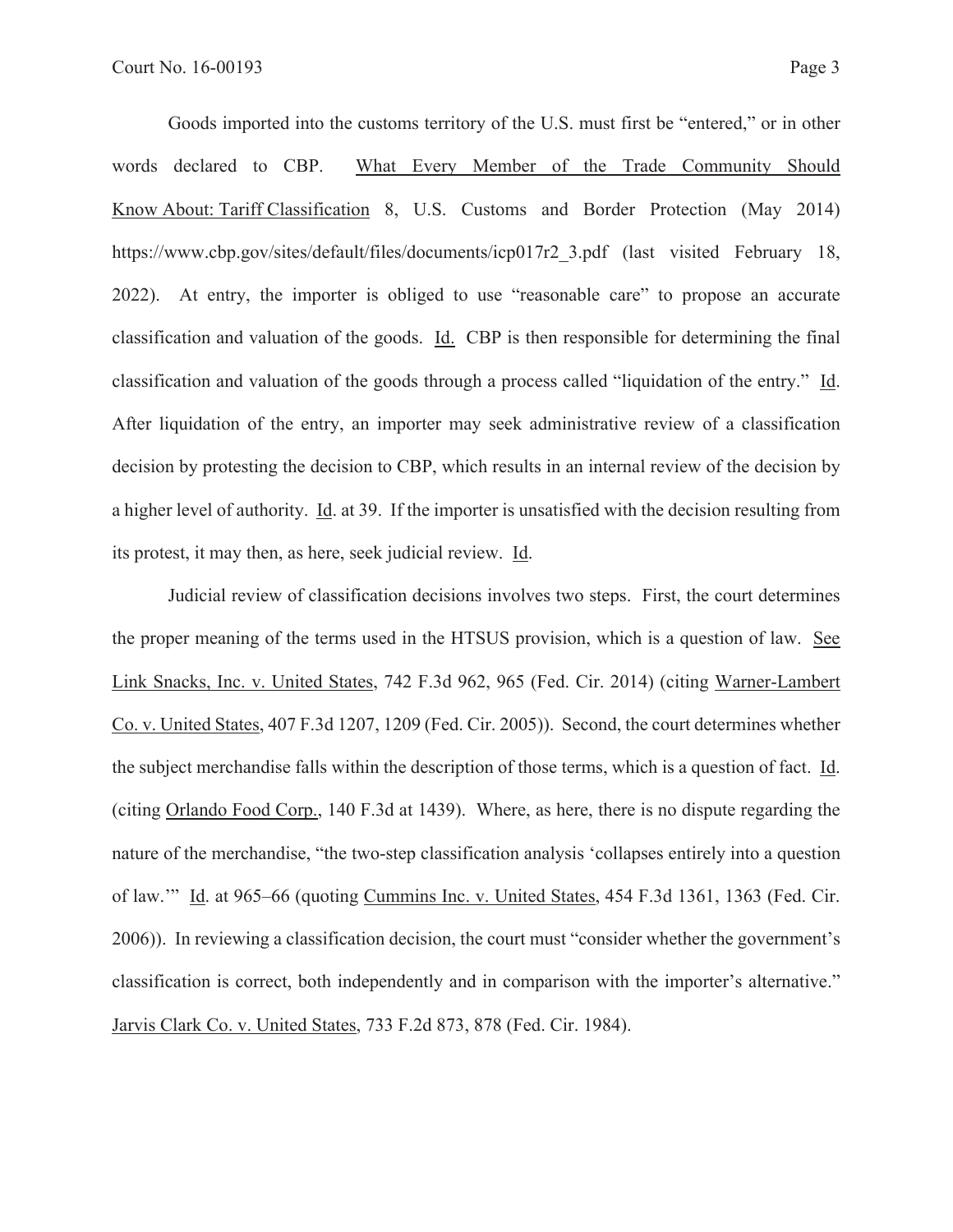Goods imported into the customs territory of the U.S. must first be "entered," or in other words declared to CBP. What Every Member of the Trade Community Should Know About: Tariff Classification 8, U.S. Customs and Border Protection (May 2014) https://www.cbp.gov/sites/default/files/documents/icp017r2\_3.pdf (last visited February 18, 2022). At entry, the importer is obliged to use "reasonable care" to propose an accurate classification and valuation of the goods. Id. CBP is then responsible for determining the final classification and valuation of the goods through a process called "liquidation of the entry." Id. After liquidation of the entry, an importer may seek administrative review of a classification decision by protesting the decision to CBP, which results in an internal review of the decision by a higher level of authority. Id. at 39. If the importer is unsatisfied with the decision resulting from its protest, it may then, as here, seek judicial review. Id.

Judicial review of classification decisions involves two steps. First, the court determines the proper meaning of the terms used in the HTSUS provision, which is a question of law. See Link Snacks, Inc. v. United States, 742 F.3d 962, 965 (Fed. Cir. 2014) (citing Warner-Lambert Co. v. United States, 407 F.3d 1207, 1209 (Fed. Cir. 2005)). Second, the court determines whether the subject merchandise falls within the description of those terms, which is a question of fact. Id. (citing Orlando Food Corp., 140 F.3d at 1439). Where, as here, there is no dispute regarding the nature of the merchandise, "the two-step classification analysis 'collapses entirely into a question of law.'" Id. at 965–66 (quoting Cummins Inc. v. United States, 454 F.3d 1361, 1363 (Fed. Cir. 2006)). In reviewing a classification decision, the court must "consider whether the government's classification is correct, both independently and in comparison with the importer's alternative." Jarvis Clark Co. v. United States, 733 F.2d 873, 878 (Fed. Cir. 1984).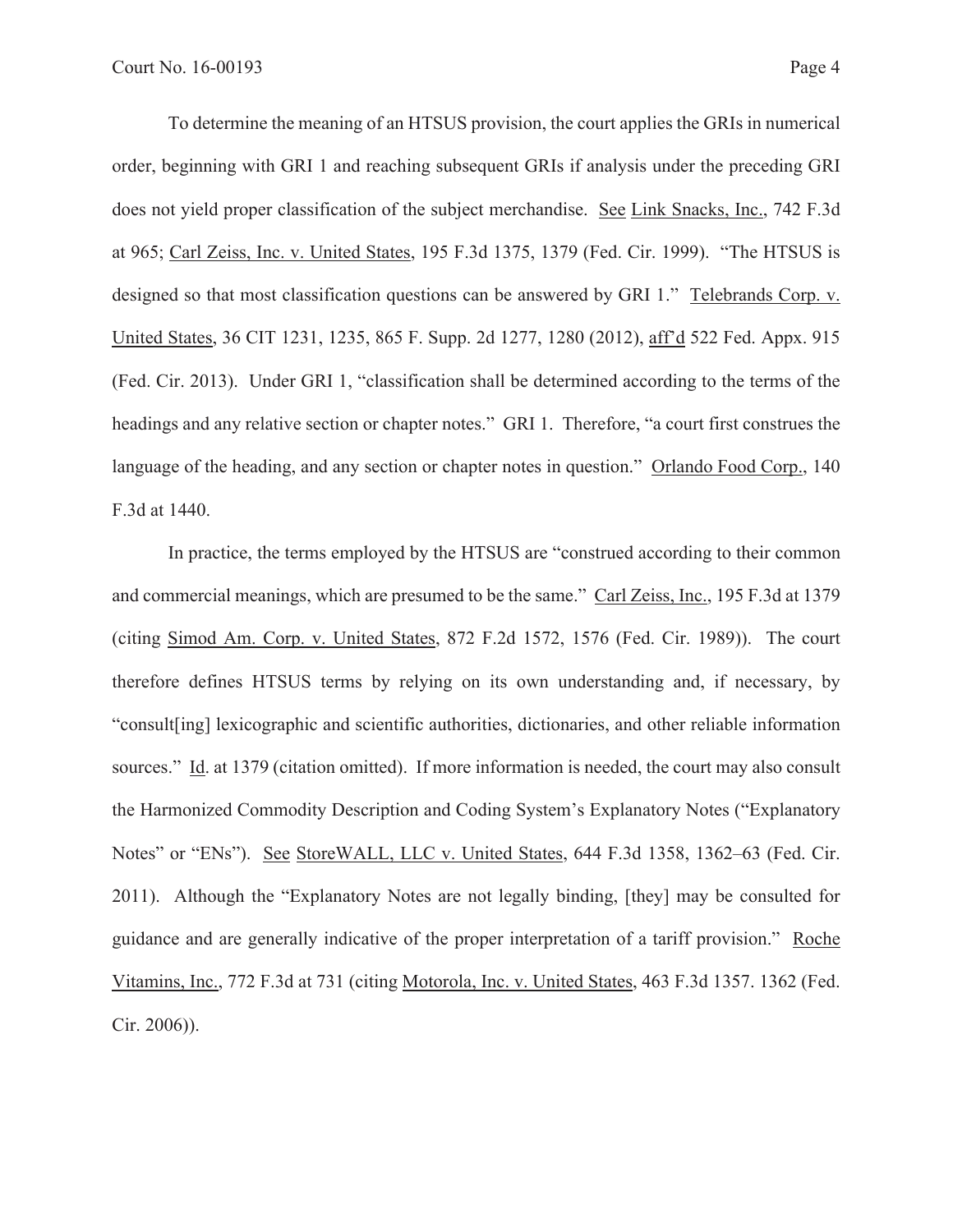To determine the meaning of an HTSUS provision, the court applies the GRIs in numerical order, beginning with GRI 1 and reaching subsequent GRIs if analysis under the preceding GRI does not yield proper classification of the subject merchandise. See Link Snacks, Inc., 742 F.3d at 965; Carl Zeiss, Inc. v. United States, 195 F.3d 1375, 1379 (Fed. Cir. 1999). "The HTSUS is designed so that most classification questions can be answered by GRI 1." Telebrands Corp. v. United States, 36 CIT 1231, 1235, 865 F. Supp. 2d 1277, 1280 (2012), aff'd 522 Fed. Appx. 915 (Fed. Cir. 2013). Under GRI 1, "classification shall be determined according to the terms of the headings and any relative section or chapter notes." GRI 1. Therefore, "a court first construes the language of the heading, and any section or chapter notes in question." Orlando Food Corp., 140 F.3d at 1440.

In practice, the terms employed by the HTSUS are "construed according to their common and commercial meanings, which are presumed to be the same." Carl Zeiss, Inc., 195 F.3d at 1379 (citing Simod Am. Corp. v. United States, 872 F.2d 1572, 1576 (Fed. Cir. 1989)). The court therefore defines HTSUS terms by relying on its own understanding and, if necessary, by "consult[ing] lexicographic and scientific authorities, dictionaries, and other reliable information sources." Id. at 1379 (citation omitted). If more information is needed, the court may also consult the Harmonized Commodity Description and Coding System's Explanatory Notes ("Explanatory Notes" or "ENs"). See StoreWALL, LLC v. United States, 644 F.3d 1358, 1362–63 (Fed. Cir. 2011). Although the "Explanatory Notes are not legally binding, [they] may be consulted for guidance and are generally indicative of the proper interpretation of a tariff provision." Roche Vitamins, Inc., 772 F.3d at 731 (citing Motorola, Inc. v. United States, 463 F.3d 1357. 1362 (Fed. Cir. 2006)).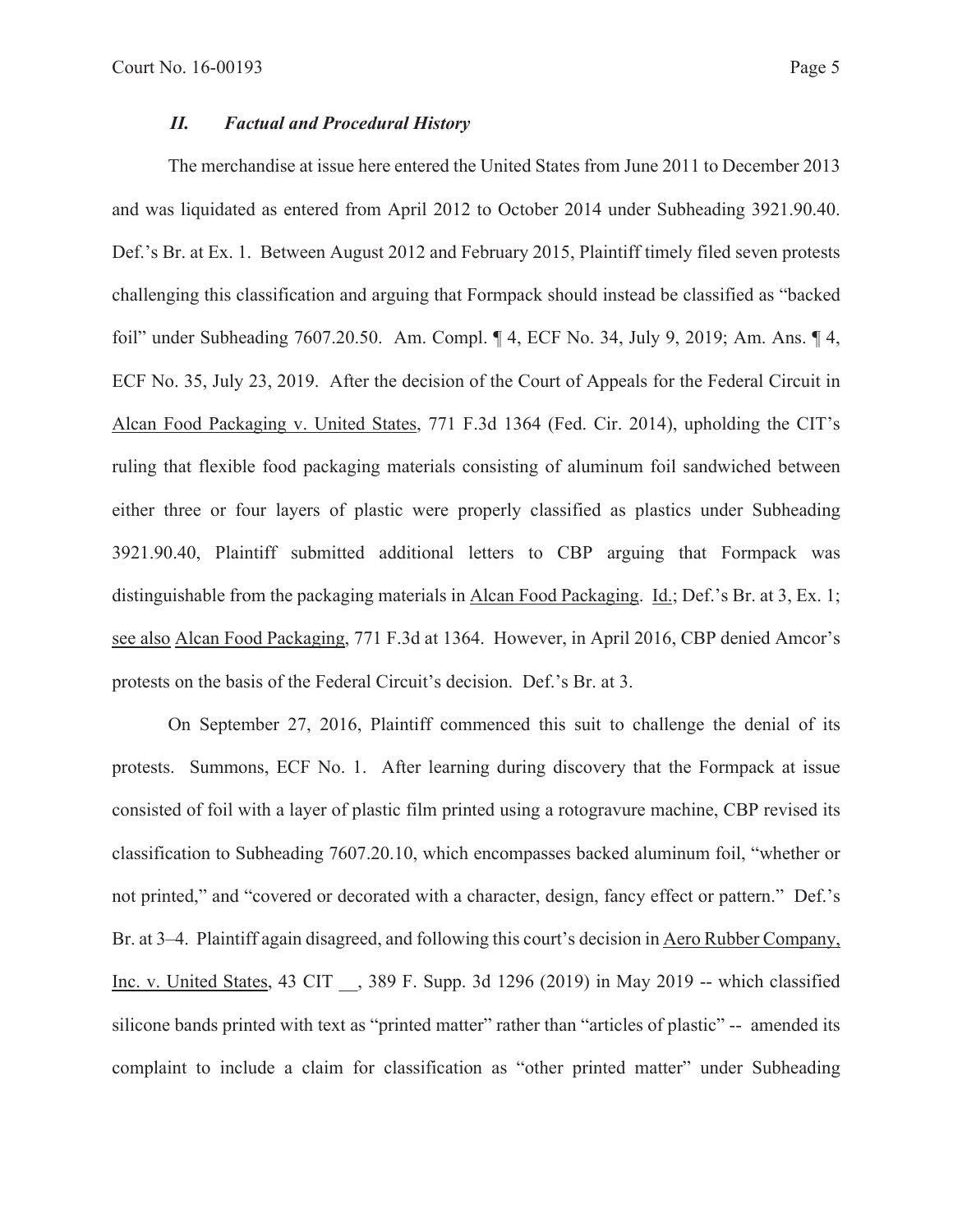## *II. Factual and Procedural History*

The merchandise at issue here entered the United States from June 2011 to December 2013 and was liquidated as entered from April 2012 to October 2014 under Subheading 3921.90.40. Def.'s Br. at Ex. 1. Between August 2012 and February 2015, Plaintiff timely filed seven protests challenging this classification and arguing that Formpack should instead be classified as "backed foil" under Subheading 7607.20.50. Am. Compl. ¶ 4, ECF No. 34, July 9, 2019; Am. Ans. ¶ 4, ECF No. 35, July 23, 2019. After the decision of the Court of Appeals for the Federal Circuit in Alcan Food Packaging v. United States, 771 F.3d 1364 (Fed. Cir. 2014), upholding the CIT's ruling that flexible food packaging materials consisting of aluminum foil sandwiched between either three or four layers of plastic were properly classified as plastics under Subheading 3921.90.40, Plaintiff submitted additional letters to CBP arguing that Formpack was distinguishable from the packaging materials in Alcan Food Packaging. Id.; Def.'s Br. at 3, Ex. 1; see also Alcan Food Packaging, 771 F.3d at 1364. However, in April 2016, CBP denied Amcor's protests on the basis of the Federal Circuit's decision. Def.'s Br. at 3.

On September 27, 2016, Plaintiff commenced this suit to challenge the denial of its protests. Summons, ECF No. 1. After learning during discovery that the Formpack at issue consisted of foil with a layer of plastic film printed using a rotogravure machine, CBP revised its classification to Subheading 7607.20.10, which encompasses backed aluminum foil, "whether or not printed," and "covered or decorated with a character, design, fancy effect or pattern." Def.'s Br. at 3–4. Plaintiff again disagreed, and following this court's decision in Aero Rubber Company, Inc. v. United States, 43 CIT \_\_, 389 F. Supp. 3d 1296 (2019) in May 2019 -- which classified silicone bands printed with text as "printed matter" rather than "articles of plastic" -- amended its complaint to include a claim for classification as "other printed matter" under Subheading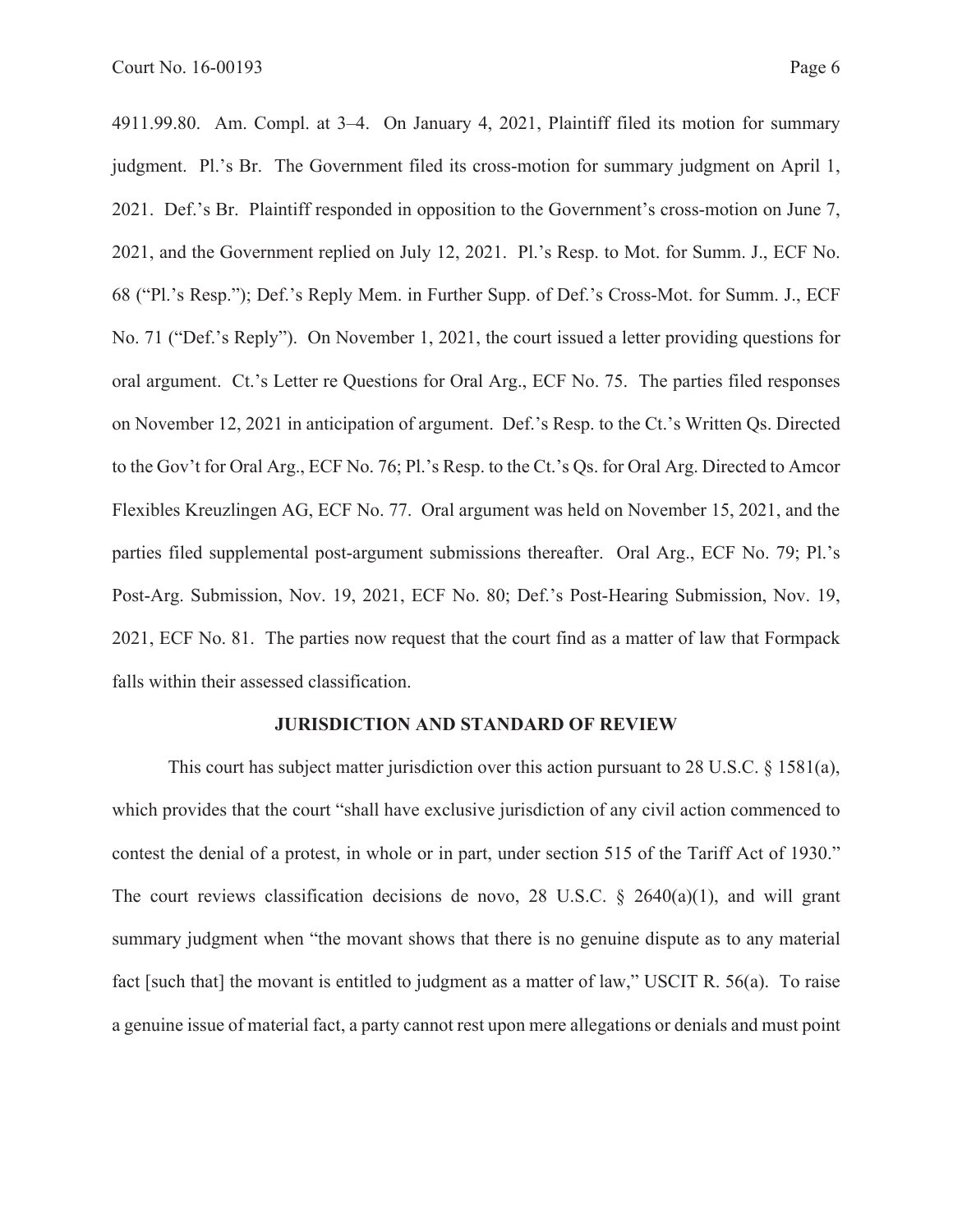4911.99.80. Am. Compl. at 3–4. On January 4, 2021, Plaintiff filed its motion for summary judgment. Pl.'s Br. The Government filed its cross-motion for summary judgment on April 1, 2021. Def.'s Br. Plaintiff responded in opposition to the Government's cross-motion on June 7, 2021, and the Government replied on July 12, 2021. Pl.'s Resp. to Mot. for Summ. J., ECF No. 68 ("Pl.'s Resp."); Def.'s Reply Mem. in Further Supp. of Def.'s Cross-Mot. for Summ. J., ECF No. 71 ("Def.'s Reply"). On November 1, 2021, the court issued a letter providing questions for oral argument. Ct.'s Letter re Questions for Oral Arg., ECF No. 75. The parties filed responses on November 12, 2021 in anticipation of argument. Def.'s Resp. to the Ct.'s Written Qs. Directed to the Gov't for Oral Arg., ECF No. 76; Pl.'s Resp. to the Ct.'s Qs. for Oral Arg. Directed to Amcor Flexibles Kreuzlingen AG, ECF No. 77. Oral argument was held on November 15, 2021, and the parties filed supplemental post-argument submissions thereafter. Oral Arg., ECF No. 79; Pl.'s Post-Arg. Submission, Nov. 19, 2021, ECF No. 80; Def.'s Post-Hearing Submission, Nov. 19, 2021, ECF No. 81. The parties now request that the court find as a matter of law that Formpack falls within their assessed classification.

#### **JURISDICTION AND STANDARD OF REVIEW**

This court has subject matter jurisdiction over this action pursuant to 28 U.S.C.  $\S$  1581(a), which provides that the court "shall have exclusive jurisdiction of any civil action commenced to contest the denial of a protest, in whole or in part, under section 515 of the Tariff Act of 1930." The court reviews classification decisions de novo, 28 U.S.C.  $\S$  2640(a)(1), and will grant summary judgment when "the movant shows that there is no genuine dispute as to any material fact [such that] the movant is entitled to judgment as a matter of law," USCIT R. 56(a). To raise a genuine issue of material fact, a party cannot rest upon mere allegations or denials and must point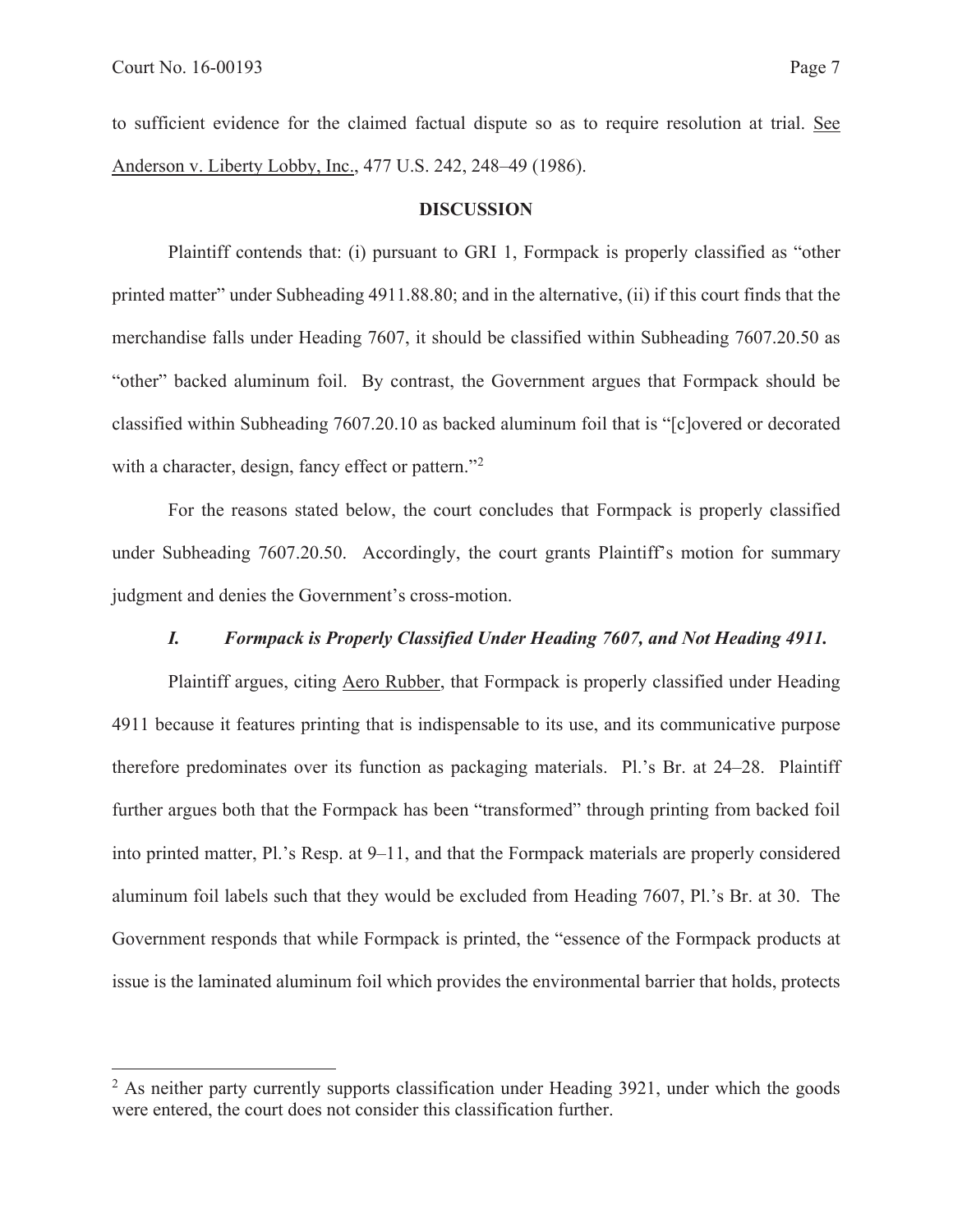to sufficient evidence for the claimed factual dispute so as to require resolution at trial. See Anderson v. Liberty Lobby, Inc., 477 U.S. 242, 248–49 (1986).

#### **DISCUSSION**

Plaintiff contends that: (i) pursuant to GRI 1, Formpack is properly classified as "other printed matter" under Subheading 4911.88.80; and in the alternative, (ii) if this court finds that the merchandise falls under Heading 7607, it should be classified within Subheading 7607.20.50 as "other" backed aluminum foil. By contrast, the Government argues that Formpack should be classified within Subheading 7607.20.10 as backed aluminum foil that is "[c]overed or decorated with a character, design, fancy effect or pattern."<sup>2</sup>

For the reasons stated below, the court concludes that Formpack is properly classified under Subheading 7607.20.50. Accordingly, the court grants Plaintiff's motion for summary judgment and denies the Government's cross-motion.

## *I. Formpack is Properly Classified Under Heading 7607, and Not Heading 4911.*

Plaintiff argues, citing Aero Rubber, that Formpack is properly classified under Heading 4911 because it features printing that is indispensable to its use, and its communicative purpose therefore predominates over its function as packaging materials. Pl.'s Br. at 24–28. Plaintiff further argues both that the Formpack has been "transformed" through printing from backed foil into printed matter, Pl.'s Resp. at 9–11, and that the Formpack materials are properly considered aluminum foil labels such that they would be excluded from Heading 7607, Pl.'s Br. at 30. The Government responds that while Formpack is printed, the "essence of the Formpack products at issue is the laminated aluminum foil which provides the environmental barrier that holds, protects

 $2$  As neither party currently supports classification under Heading 3921, under which the goods were entered, the court does not consider this classification further.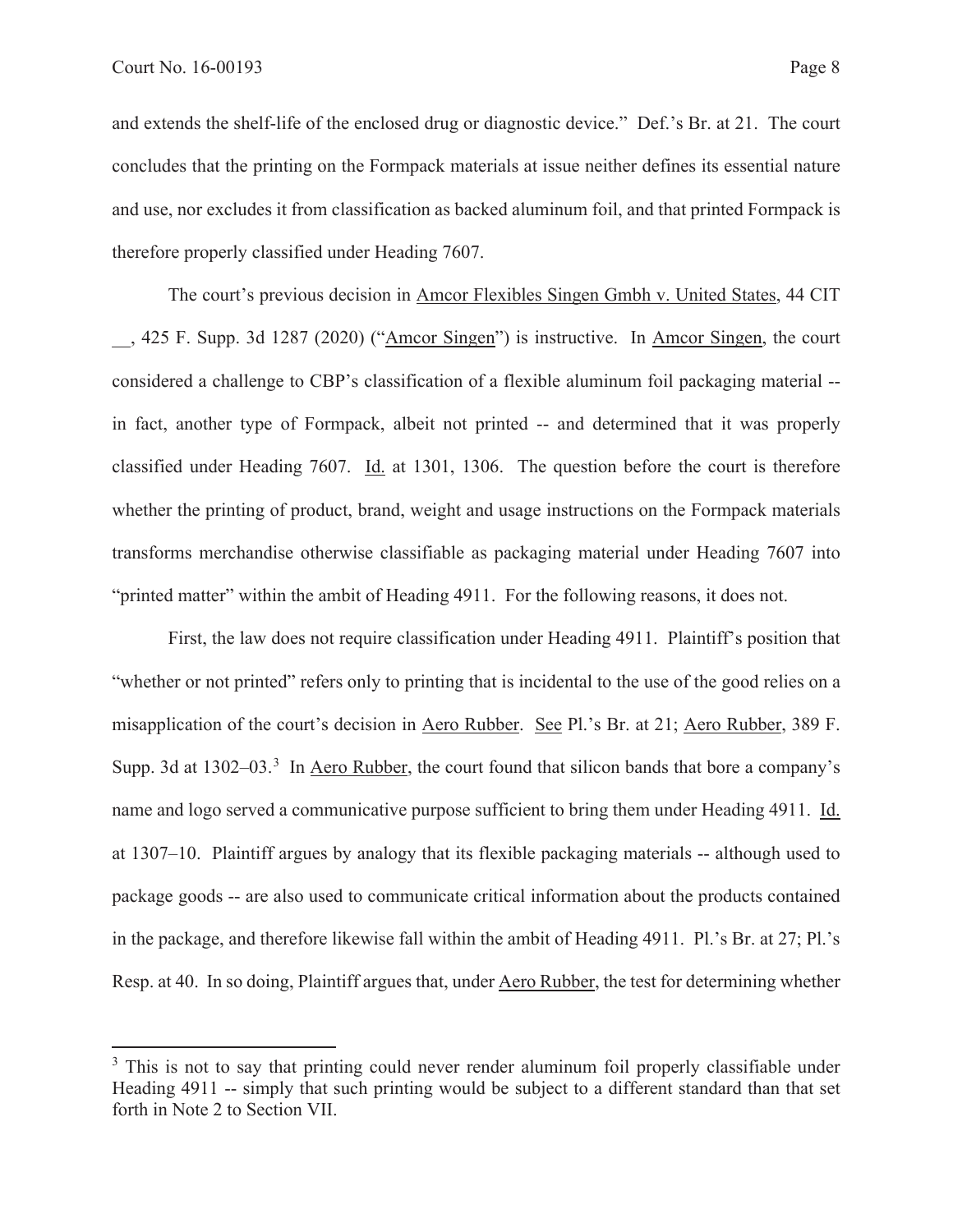and extends the shelf-life of the enclosed drug or diagnostic device." Def.'s Br. at 21. The court concludes that the printing on the Formpack materials at issue neither defines its essential nature and use, nor excludes it from classification as backed aluminum foil, and that printed Formpack is therefore properly classified under Heading 7607.

The court's previous decision in Amcor Flexibles Singen Gmbh v. United States, 44 CIT \_\_, 425 F. Supp. 3d 1287 (2020) ("Amcor Singen") is instructive. In Amcor Singen, the court considered a challenge to CBP's classification of a flexible aluminum foil packaging material - in fact, another type of Formpack, albeit not printed -- and determined that it was properly classified under Heading 7607. Id. at 1301, 1306. The question before the court is therefore whether the printing of product, brand, weight and usage instructions on the Formpack materials transforms merchandise otherwise classifiable as packaging material under Heading 7607 into "printed matter" within the ambit of Heading 4911. For the following reasons, it does not.

First, the law does not require classification under Heading 4911. Plaintiff's position that "whether or not printed" refers only to printing that is incidental to the use of the good relies on a misapplication of the court's decision in Aero Rubber. See Pl.'s Br. at 21; Aero Rubber, 389 F. Supp. 3d at 1302–03.<sup>3</sup> In Aero Rubber, the court found that silicon bands that bore a company's name and logo served a communicative purpose sufficient to bring them under Heading 4911. Id. at 1307–10. Plaintiff argues by analogy that its flexible packaging materials -- although used to package goods -- are also used to communicate critical information about the products contained in the package, and therefore likewise fall within the ambit of Heading 4911. Pl.'s Br. at 27; Pl.'s Resp. at 40. In so doing, Plaintiff argues that, under Aero Rubber, the test for determining whether

<sup>&</sup>lt;sup>3</sup> This is not to say that printing could never render aluminum foil properly classifiable under Heading 4911 -- simply that such printing would be subject to a different standard than that set forth in Note 2 to Section VII.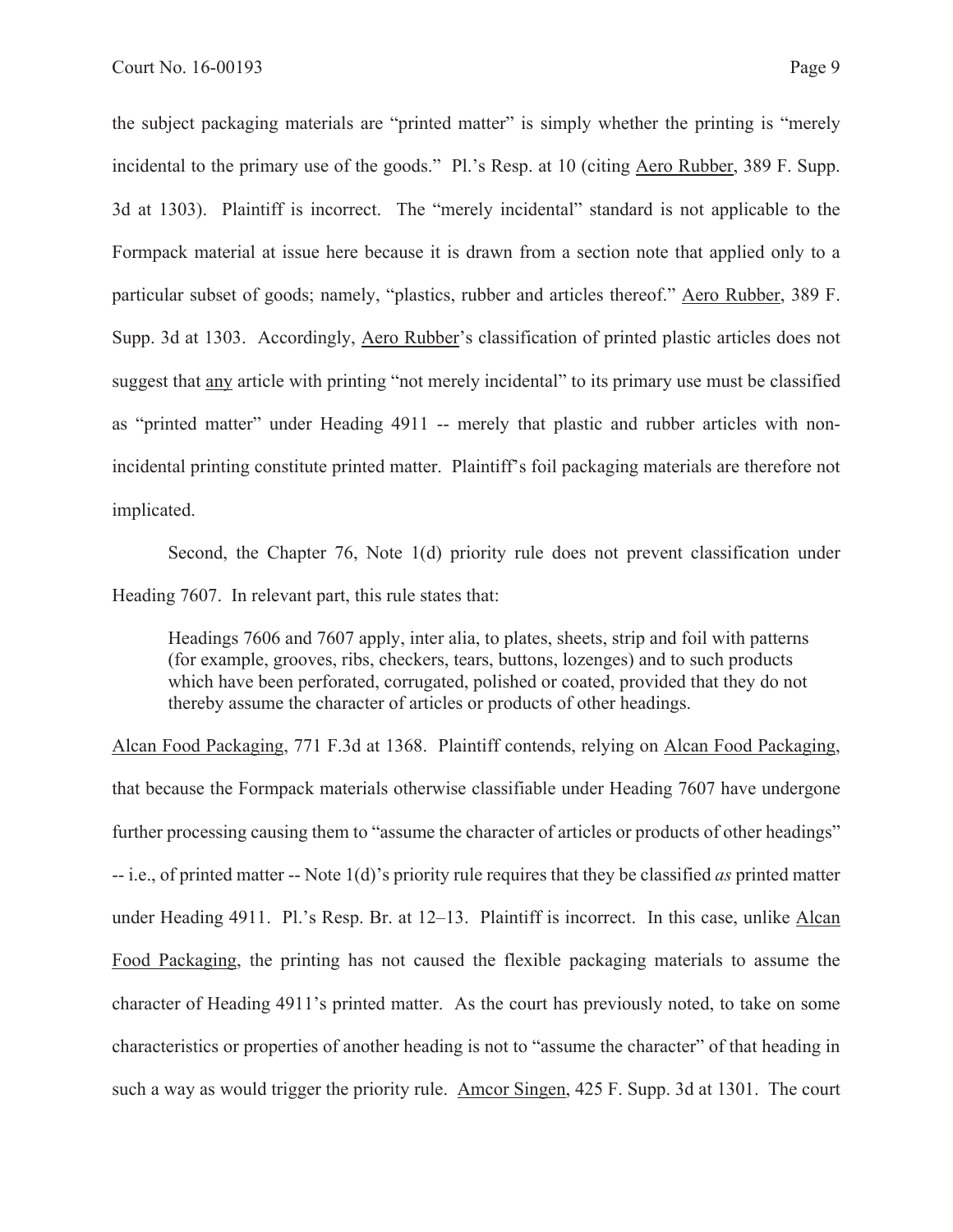the subject packaging materials are "printed matter" is simply whether the printing is "merely incidental to the primary use of the goods." Pl.'s Resp. at 10 (citing Aero Rubber, 389 F. Supp. 3d at 1303). Plaintiff is incorrect. The "merely incidental" standard is not applicable to the Formpack material at issue here because it is drawn from a section note that applied only to a particular subset of goods; namely, "plastics, rubber and articles thereof." Aero Rubber, 389 F. Supp. 3d at 1303. Accordingly, Aero Rubber's classification of printed plastic articles does not suggest that any article with printing "not merely incidental" to its primary use must be classified as "printed matter" under Heading 4911 -- merely that plastic and rubber articles with nonincidental printing constitute printed matter. Plaintiff's foil packaging materials are therefore not implicated.

Second, the Chapter 76, Note 1(d) priority rule does not prevent classification under Heading 7607. In relevant part, this rule states that:

Headings 7606 and 7607 apply, inter alia, to plates, sheets, strip and foil with patterns (for example, grooves, ribs, checkers, tears, buttons, lozenges) and to such products which have been perforated, corrugated, polished or coated, provided that they do not thereby assume the character of articles or products of other headings.

Alcan Food Packaging, 771 F.3d at 1368. Plaintiff contends, relying on Alcan Food Packaging, that because the Formpack materials otherwise classifiable under Heading 7607 have undergone further processing causing them to "assume the character of articles or products of other headings" -- i.e., of printed matter -- Note 1(d)'s priority rule requires that they be classified *as* printed matter under Heading 4911. Pl.'s Resp. Br. at 12–13. Plaintiff is incorrect. In this case, unlike Alcan Food Packaging, the printing has not caused the flexible packaging materials to assume the character of Heading 4911's printed matter. As the court has previously noted, to take on some characteristics or properties of another heading is not to "assume the character" of that heading in such a way as would trigger the priority rule. Amcor Singen, 425 F. Supp. 3d at 1301. The court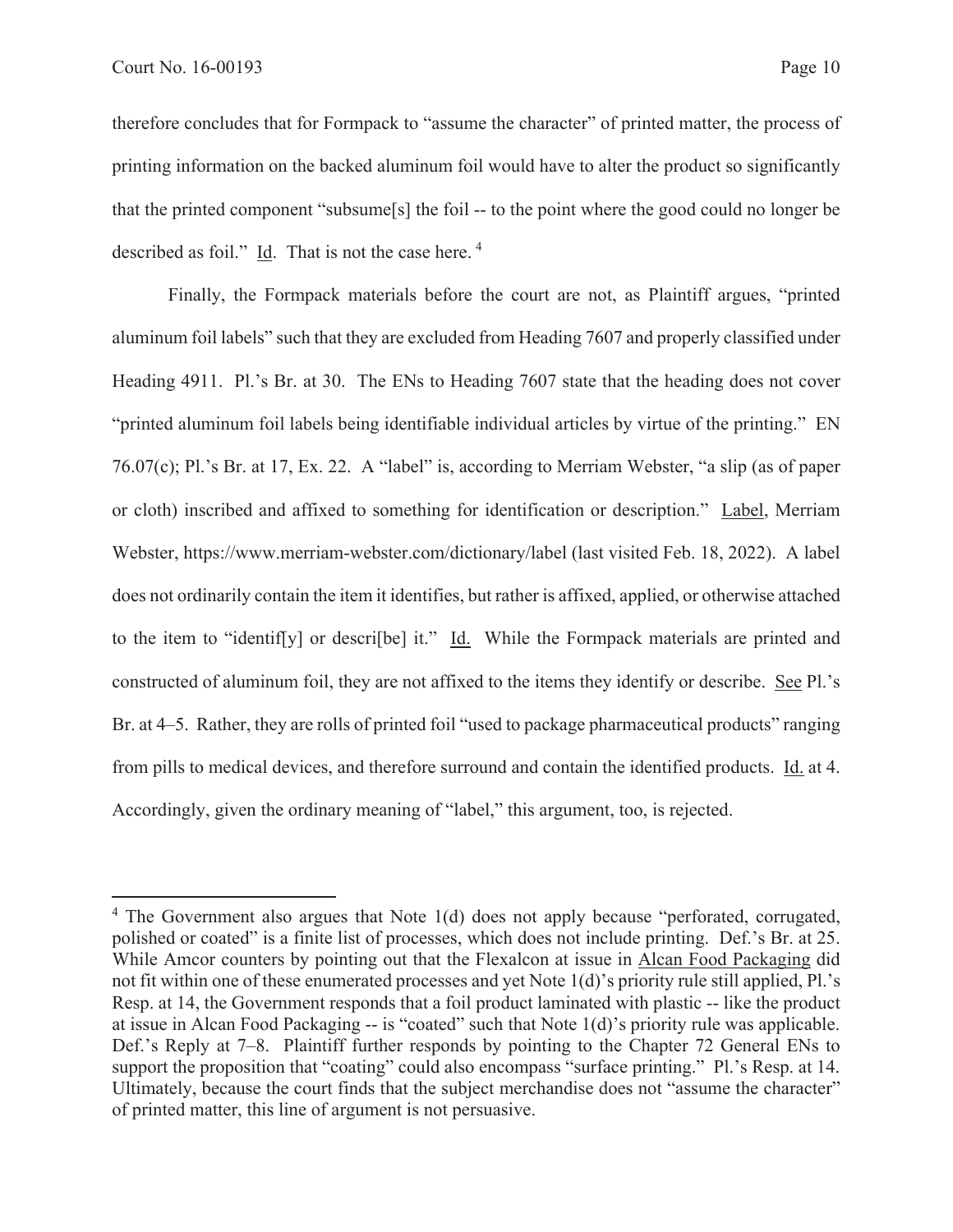therefore concludes that for Formpack to "assume the character" of printed matter, the process of printing information on the backed aluminum foil would have to alter the product so significantly that the printed component "subsume[s] the foil -- to the point where the good could no longer be described as foil." Id. That is not the case here. 4

Finally, the Formpack materials before the court are not, as Plaintiff argues, "printed aluminum foil labels" such that they are excluded from Heading 7607 and properly classified under Heading 4911. Pl.'s Br. at 30. The ENs to Heading 7607 state that the heading does not cover "printed aluminum foil labels being identifiable individual articles by virtue of the printing." EN 76.07(c); Pl.'s Br. at 17, Ex. 22. A "label" is, according to Merriam Webster, "a slip (as of paper or cloth) inscribed and affixed to something for identification or description." Label, Merriam Webster, https://www.merriam-webster.com/dictionary/label (last visited Feb. 18, 2022). A label does not ordinarily contain the item it identifies, but rather is affixed, applied, or otherwise attached to the item to "identif[y] or descri[be] it." Id. While the Formpack materials are printed and constructed of aluminum foil, they are not affixed to the items they identify or describe. See Pl.'s Br. at 4–5. Rather, they are rolls of printed foil "used to package pharmaceutical products" ranging from pills to medical devices, and therefore surround and contain the identified products. Id. at 4. Accordingly, given the ordinary meaning of "label," this argument, too, is rejected.

<sup>&</sup>lt;sup>4</sup> The Government also argues that Note 1(d) does not apply because "perforated, corrugated, polished or coated" is a finite list of processes, which does not include printing. Def.'s Br. at 25. While Amcor counters by pointing out that the Flexalcon at issue in Alcan Food Packaging did not fit within one of these enumerated processes and yet Note 1(d)'s priority rule still applied, Pl.'s Resp. at 14, the Government responds that a foil product laminated with plastic -- like the product at issue in Alcan Food Packaging -- is "coated" such that Note 1(d)'s priority rule was applicable. Def.'s Reply at 7–8. Plaintiff further responds by pointing to the Chapter 72 General ENs to support the proposition that "coating" could also encompass "surface printing." Pl.'s Resp. at 14. Ultimately, because the court finds that the subject merchandise does not "assume the character" of printed matter, this line of argument is not persuasive.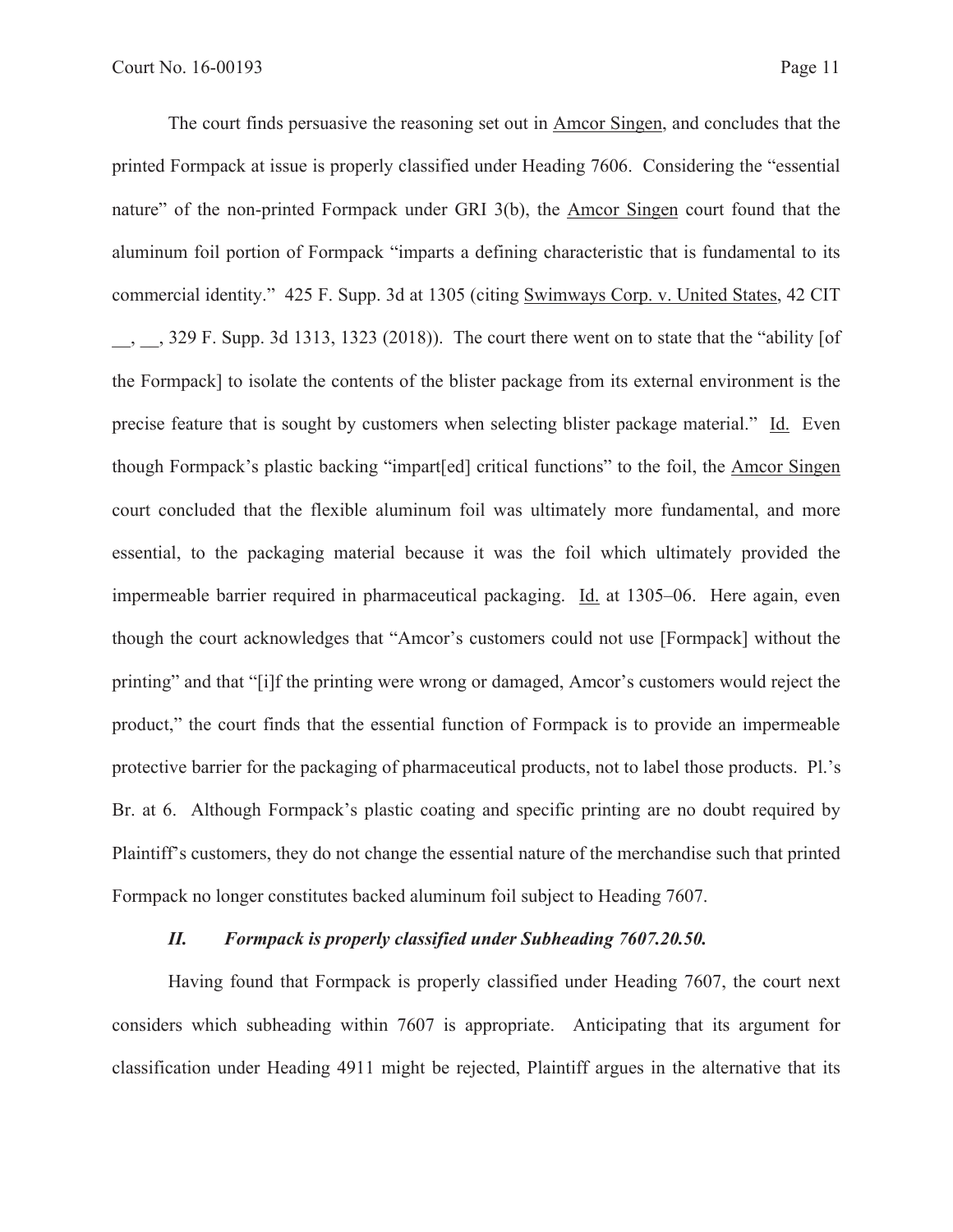The court finds persuasive the reasoning set out in Amcor Singen, and concludes that the printed Formpack at issue is properly classified under Heading 7606. Considering the "essential nature" of the non-printed Formpack under GRI 3(b), the Amcor Singen court found that the aluminum foil portion of Formpack "imparts a defining characteristic that is fundamental to its commercial identity." 425 F. Supp. 3d at 1305 (citing Swimways Corp. v. United States, 42 CIT \_\_, \_\_, 329 F. Supp. 3d 1313, 1323 (2018)). The court there went on to state that the "ability [of the Formpack] to isolate the contents of the blister package from its external environment is the precise feature that is sought by customers when selecting blister package material." Id. Even though Formpack's plastic backing "impart[ed] critical functions" to the foil, the Amcor Singen court concluded that the flexible aluminum foil was ultimately more fundamental, and more essential, to the packaging material because it was the foil which ultimately provided the impermeable barrier required in pharmaceutical packaging. Id. at 1305–06. Here again, even though the court acknowledges that "Amcor's customers could not use [Formpack] without the printing" and that "[i]f the printing were wrong or damaged, Amcor's customers would reject the product," the court finds that the essential function of Formpack is to provide an impermeable protective barrier for the packaging of pharmaceutical products, not to label those products. Pl.'s Br. at 6. Although Formpack's plastic coating and specific printing are no doubt required by Plaintiff's customers, they do not change the essential nature of the merchandise such that printed Formpack no longer constitutes backed aluminum foil subject to Heading 7607.

## *II. Formpack is properly classified under Subheading 7607.20.50.*

Having found that Formpack is properly classified under Heading 7607, the court next considers which subheading within 7607 is appropriate. Anticipating that its argument for classification under Heading 4911 might be rejected, Plaintiff argues in the alternative that its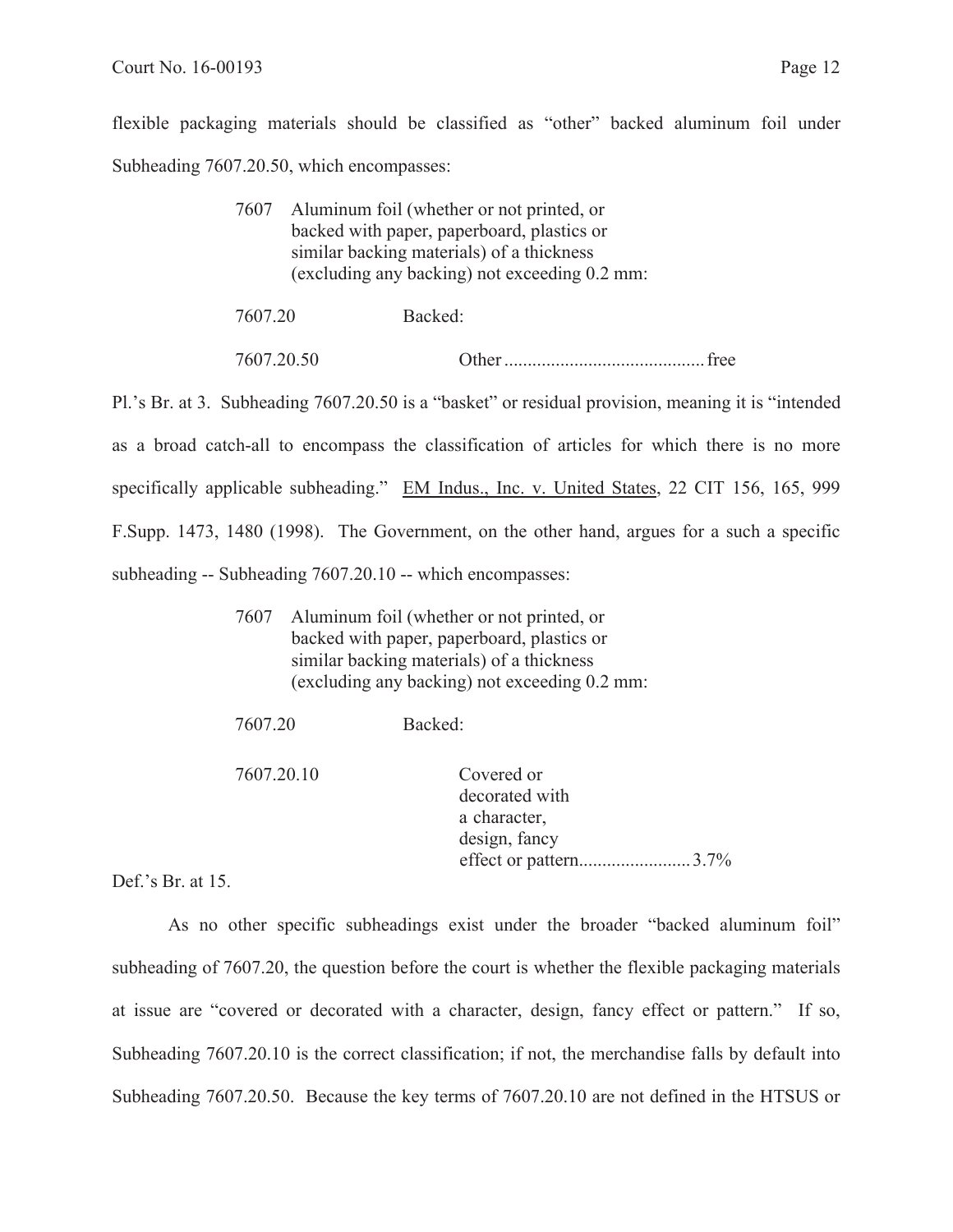flexible packaging materials should be classified as "other" backed aluminum foil under Subheading 7607.20.50, which encompasses:

|                                               | 7607 Aluminum foil (whether or not printed, or |  |  |
|-----------------------------------------------|------------------------------------------------|--|--|
|                                               | backed with paper, paperboard, plastics or     |  |  |
| similar backing materials) of a thickness     |                                                |  |  |
| (excluding any backing) not exceeding 0.2 mm: |                                                |  |  |
|                                               |                                                |  |  |
| 7607.20                                       | Backed:                                        |  |  |

Pl.'s Br. at 3. Subheading 7607.20.50 is a "basket" or residual provision, meaning it is "intended as a broad catch-all to encompass the classification of articles for which there is no more specifically applicable subheading." EM Indus., Inc. v. United States, 22 CIT 156, 165, 999 F.Supp. 1473, 1480 (1998). The Government, on the other hand, argues for a such a specific subheading -- Subheading 7607.20.10 -- which encompasses:

7607.20.50 Other ........................................... free

| 7607 | Aluminum foil (whether or not printed, or     |
|------|-----------------------------------------------|
|      | backed with paper, paperboard, plastics or    |
|      | similar backing materials) of a thickness     |
|      | (excluding any backing) not exceeding 0.2 mm: |

| 7607.20    | Backed:                                                                                |
|------------|----------------------------------------------------------------------------------------|
| 7607.20.10 | Covered or<br>decorated with<br>a character,<br>design, fancy<br>effect or pattern3.7% |

Def.'s Br. at 15.

As no other specific subheadings exist under the broader "backed aluminum foil" subheading of 7607.20, the question before the court is whether the flexible packaging materials at issue are "covered or decorated with a character, design, fancy effect or pattern." If so, Subheading 7607.20.10 is the correct classification; if not, the merchandise falls by default into Subheading 7607.20.50. Because the key terms of 7607.20.10 are not defined in the HTSUS or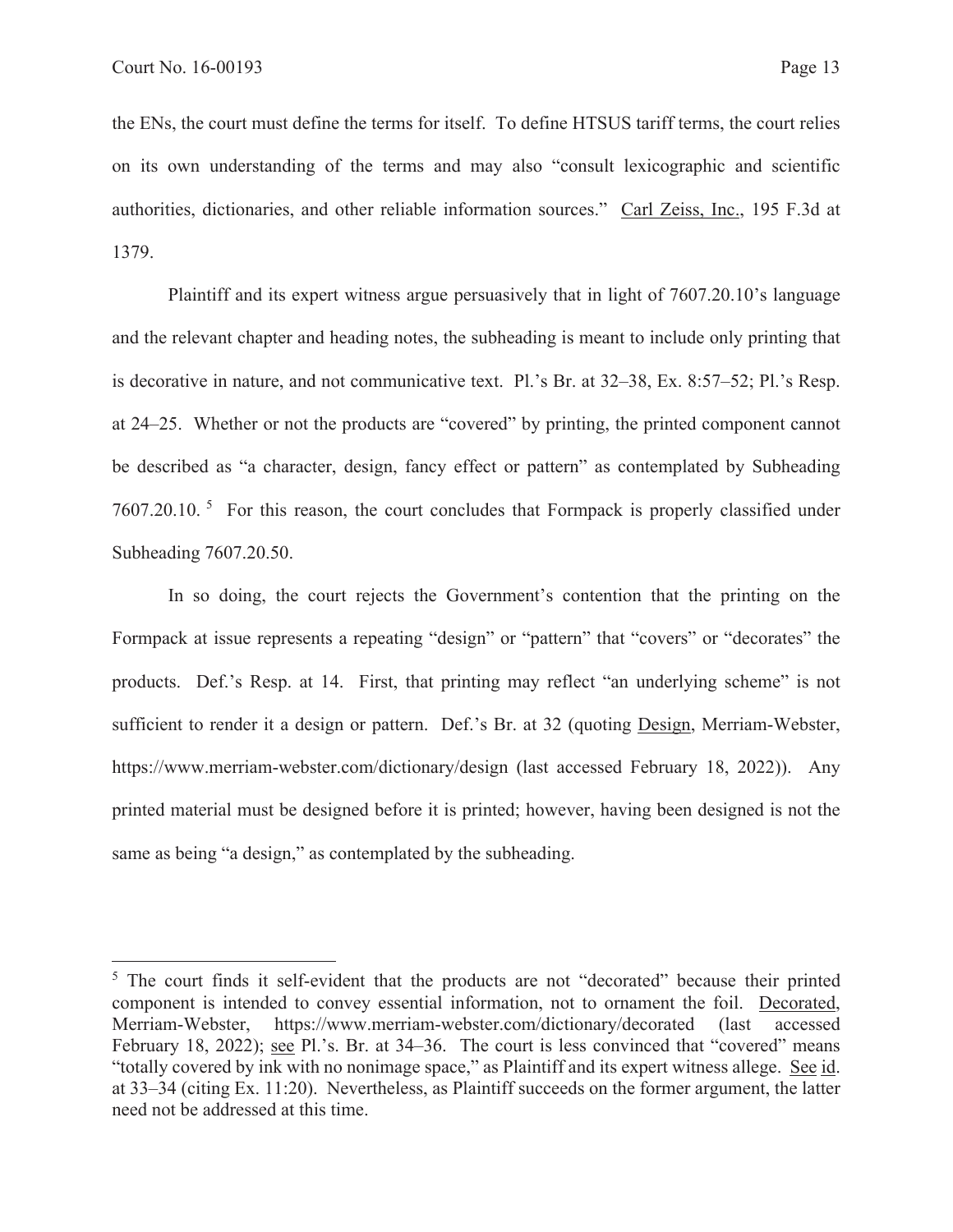the ENs, the court must define the terms for itself. To define HTSUS tariff terms, the court relies on its own understanding of the terms and may also "consult lexicographic and scientific authorities, dictionaries, and other reliable information sources." Carl Zeiss, Inc., 195 F.3d at 1379.

Plaintiff and its expert witness argue persuasively that in light of 7607.20.10's language and the relevant chapter and heading notes, the subheading is meant to include only printing that is decorative in nature, and not communicative text. Pl.'s Br. at 32–38, Ex. 8:57–52; Pl.'s Resp. at 24–25. Whether or not the products are "covered" by printing, the printed component cannot be described as "a character, design, fancy effect or pattern" as contemplated by Subheading 7607.20.10. 5 For this reason, the court concludes that Formpack is properly classified under Subheading 7607.20.50.

In so doing, the court rejects the Government's contention that the printing on the Formpack at issue represents a repeating "design" or "pattern" that "covers" or "decorates" the products. Def.'s Resp. at 14. First, that printing may reflect "an underlying scheme" is not sufficient to render it a design or pattern. Def.'s Br. at 32 (quoting Design, Merriam-Webster, https://www.merriam-webster.com/dictionary/design (last accessed February 18, 2022)). Any printed material must be designed before it is printed; however, having been designed is not the same as being "a design," as contemplated by the subheading.

<sup>&</sup>lt;sup>5</sup> The court finds it self-evident that the products are not "decorated" because their printed component is intended to convey essential information, not to ornament the foil. Decorated, Merriam-Webster, https://www.merriam-webster.com/dictionary/decorated (last accessed February 18, 2022); see Pl.'s. Br. at 34–36. The court is less convinced that "covered" means "totally covered by ink with no nonimage space," as Plaintiff and its expert witness allege. See id. at 33–34 (citing Ex. 11:20). Nevertheless, as Plaintiff succeeds on the former argument, the latter need not be addressed at this time.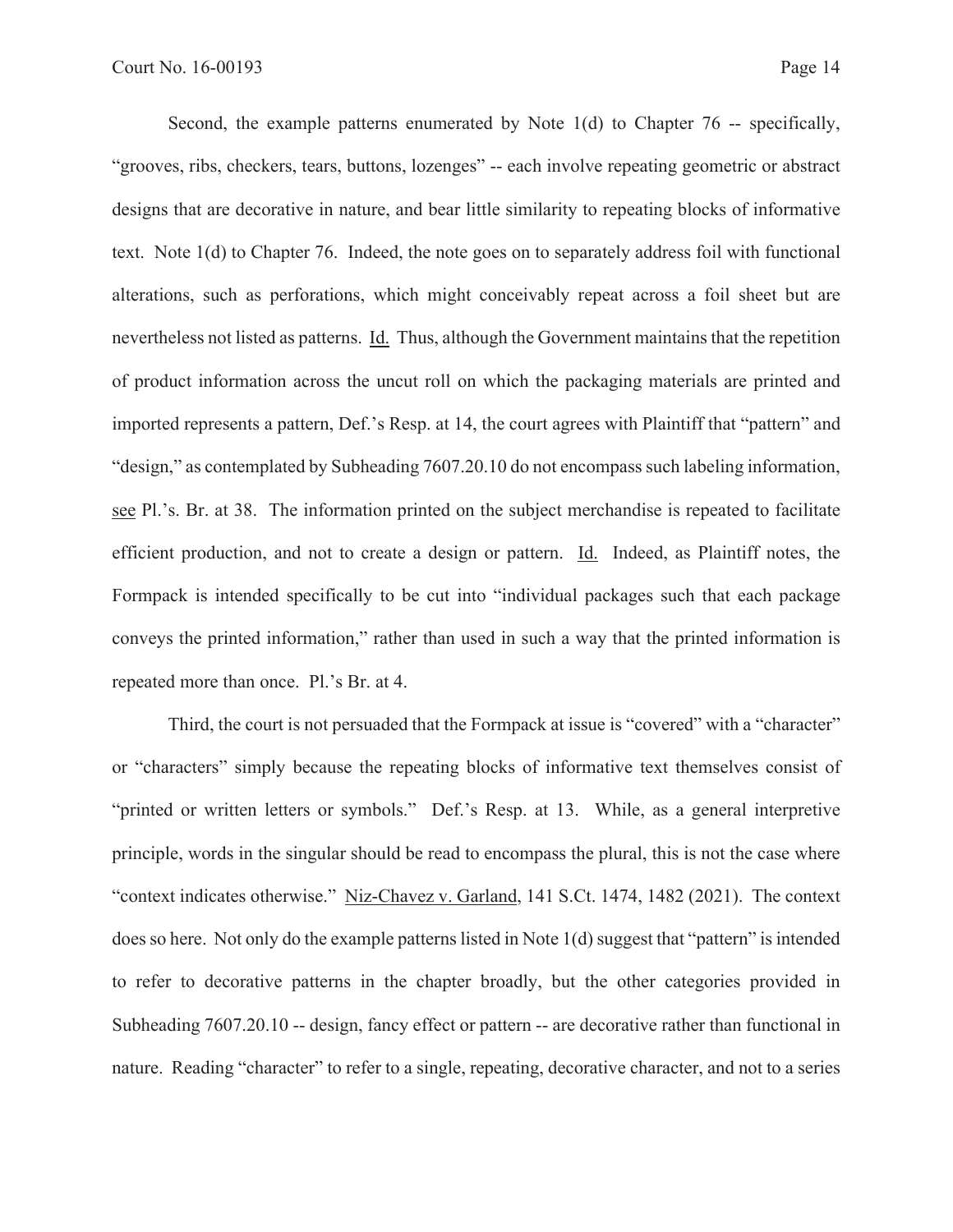Second, the example patterns enumerated by Note 1(d) to Chapter 76 -- specifically, "grooves, ribs, checkers, tears, buttons, lozenges" -- each involve repeating geometric or abstract designs that are decorative in nature, and bear little similarity to repeating blocks of informative text. Note 1(d) to Chapter 76. Indeed, the note goes on to separately address foil with functional alterations, such as perforations, which might conceivably repeat across a foil sheet but are nevertheless not listed as patterns. Id. Thus, although the Government maintains that the repetition of product information across the uncut roll on which the packaging materials are printed and imported represents a pattern, Def.'s Resp. at 14, the court agrees with Plaintiff that "pattern" and "design," as contemplated by Subheading 7607.20.10 do not encompass such labeling information, see Pl.'s. Br. at 38. The information printed on the subject merchandise is repeated to facilitate efficient production, and not to create a design or pattern. Id. Indeed, as Plaintiff notes, the Formpack is intended specifically to be cut into "individual packages such that each package conveys the printed information," rather than used in such a way that the printed information is repeated more than once. Pl.'s Br. at 4.

Third, the court is not persuaded that the Formpack at issue is "covered" with a "character" or "characters" simply because the repeating blocks of informative text themselves consist of "printed or written letters or symbols." Def.'s Resp. at 13. While, as a general interpretive principle, words in the singular should be read to encompass the plural, this is not the case where "context indicates otherwise." Niz-Chavez v. Garland, 141 S.Ct. 1474, 1482 (2021). The context does so here. Not only do the example patterns listed in Note 1(d) suggest that "pattern" is intended to refer to decorative patterns in the chapter broadly, but the other categories provided in Subheading 7607.20.10 -- design, fancy effect or pattern -- are decorative rather than functional in nature. Reading "character" to refer to a single, repeating, decorative character, and not to a series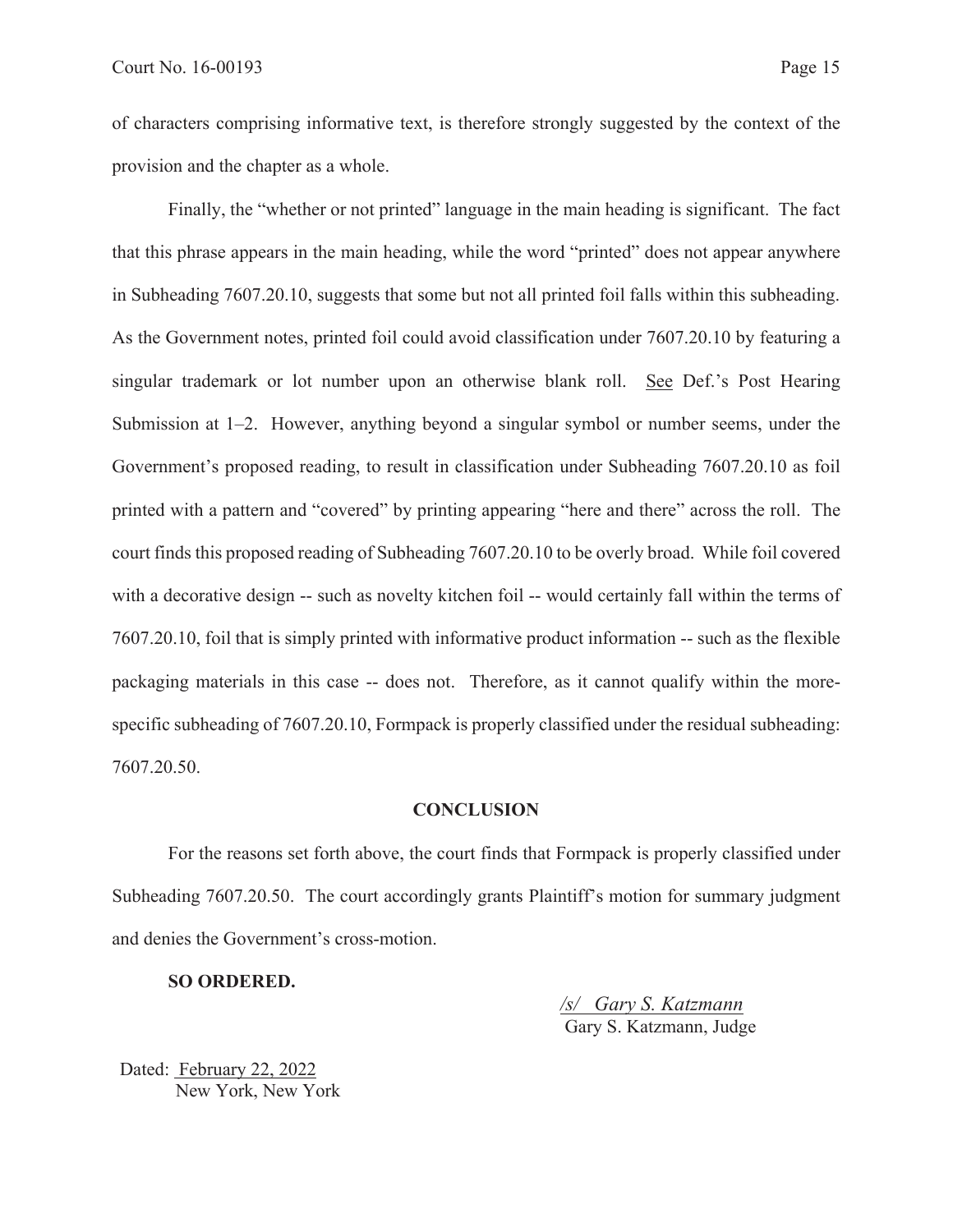of characters comprising informative text, is therefore strongly suggested by the context of the provision and the chapter as a whole.

Finally, the "whether or not printed" language in the main heading is significant. The fact that this phrase appears in the main heading, while the word "printed" does not appear anywhere in Subheading 7607.20.10, suggests that some but not all printed foil falls within this subheading. As the Government notes, printed foil could avoid classification under 7607.20.10 by featuring a singular trademark or lot number upon an otherwise blank roll. See Def.'s Post Hearing Submission at 1–2. However, anything beyond a singular symbol or number seems, under the Government's proposed reading, to result in classification under Subheading 7607.20.10 as foil printed with a pattern and "covered" by printing appearing "here and there" across the roll. The court finds this proposed reading of Subheading 7607.20.10 to be overly broad. While foil covered with a decorative design -- such as novelty kitchen foil -- would certainly fall within the terms of 7607.20.10, foil that is simply printed with informative product information -- such as the flexible packaging materials in this case -- does not. Therefore, as it cannot qualify within the morespecific subheading of 7607.20.10, Formpack is properly classified under the residual subheading: 7607.20.50.

#### **CONCLUSION**

For the reasons set forth above, the court finds that Formpack is properly classified under Subheading 7607.20.50. The court accordingly grants Plaintiff's motion for summary judgment and denies the Government's cross-motion.

**SO ORDERED.** 

*/s/ Gary S. Katzmann*  Gary S. Katzmann, Judge

Dated: February 22, 2022 New York, New York